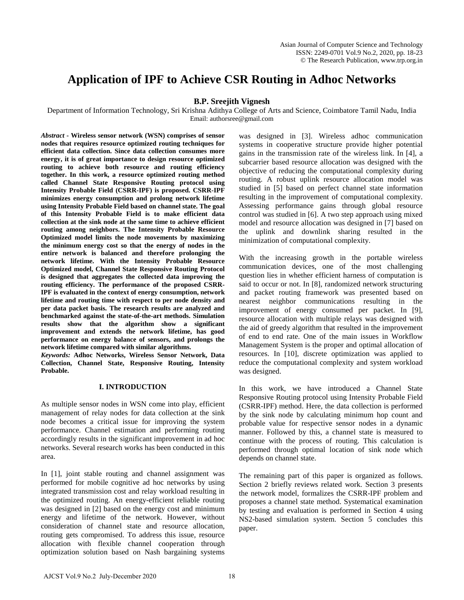# **Application of IPF to Achieve CSR Routing in Adhoc Networks**

# **B.P. Sreejith Vignesh**

Department of Information Technology, Sri Krishna Adithya College of Arts and Science, Coimbatore Tamil Nadu, India Email: authorsree@gmail.com

*Abstract* **- Wireless sensor network (WSN) comprises of sensor nodes that requires resource optimized routing techniques for efficient data collection. Since data collection consumes more energy, it is of great importance to design resource optimized routing to achieve both resource and routing efficiency together. In this work, a resource optimized routing method called Channel State Responsive Routing protocol using Intensity Probable Field (CSRR-IPF) is proposed. CSRR-IPF minimizes energy consumption and prolong network lifetime using Intensity Probable Field based on channel state. The goal of this Intensity Probable Field is to make efficient data collection at the sink node at the same time to achieve efficient routing among neighbors. The Intensity Probable Resource Optimized model limits the node movements by maximizing the minimum energy cost so that the energy of nodes in the entire network is balanced and therefore prolonging the network lifetime. With the Intensity Probable Resource Optimized model, Channel State Responsive Routing Protocol is designed that aggregates the collected data improving the routing efficiency. The performance of the proposed CSRR-IPF is evaluated in the context of energy consumption, network lifetime and routing time with respect to per node density and per data packet basis. The research results are analyzed and benchmarked against the state-of-the-art methods. Simulation results show that the algorithm show a significant improvement and extends the network lifetime, has good performance on energy balance of sensors, and prolongs the network lifetime compared with similar algorithms.**

*Keywords:* **Adhoc Networks, Wireless Sensor Network, Data Collection, Channel State, Responsive Routing, Intensity Probable.**

# **I. INTRODUCTION**

As multiple sensor nodes in WSN come into play, efficient management of relay nodes for data collection at the sink node becomes a critical issue for improving the system performance. Channel estimation and performing routing accordingly results in the significant improvement in ad hoc networks. Several research works has been conducted in this area.

In [1], joint stable routing and channel assignment was performed for mobile cognitive ad hoc networks by using integrated transmission cost and relay workload resulting in the optimized routing. An energy-efficient reliable routing was designed in [2] based on the energy cost and minimum energy and lifetime of the network. However, without consideration of channel state and resource allocation, routing gets compromised. To address this issue, resource allocation with flexible channel cooperation through optimization solution based on Nash bargaining systems

was designed in [3]. Wireless adhoc communication systems in cooperative structure provide higher potential gains in the transmission rate of the wireless link. In [4], a subcarrier based resource allocation was designed with the objective of reducing the computational complexity during routing. A robust uplink resource allocation model was studied in [5] based on perfect channel state information resulting in the improvement of computational complexity. Assessing performance gains through global resource control was studied in [6]. A two step approach using mixed model and resource allocation was designed in [7] based on the uplink and downlink sharing resulted in the minimization of computational complexity.

With the increasing growth in the portable wireless communication devices, one of the most challenging question lies in whether efficient harness of computation is said to occur or not. In [8], randomized network structuring and packet routing framework was presented based on nearest neighbor communications resulting in the improvement of energy consumed per packet. In [9], resource allocation with multiple relays was designed with the aid of greedy algorithm that resulted in the improvement of end to end rate. One of the main issues in Workflow Management System is the proper and optimal allocation of resources. In [10], discrete optimization was applied to reduce the computational complexity and system workload was designed.

In this work, we have introduced a Channel State Responsive Routing protocol using Intensity Probable Field (CSRR-IPF) method. Here, the data collection is performed by the sink node by calculating minimum hop count and probable value for respective sensor nodes in a dynamic manner. Followed by this, a channel state is measured to continue with the process of routing. This calculation is performed through optimal location of sink node which depends on channel state.

The remaining part of this paper is organized as follows. Section 2 briefly reviews related work. Section 3 presents the network model, formalizes the CSRR-IPF problem and proposes a channel state method. Systematical examination by testing and evaluation is performed in Section 4 using NS2-based simulation system. Section 5 concludes this paper.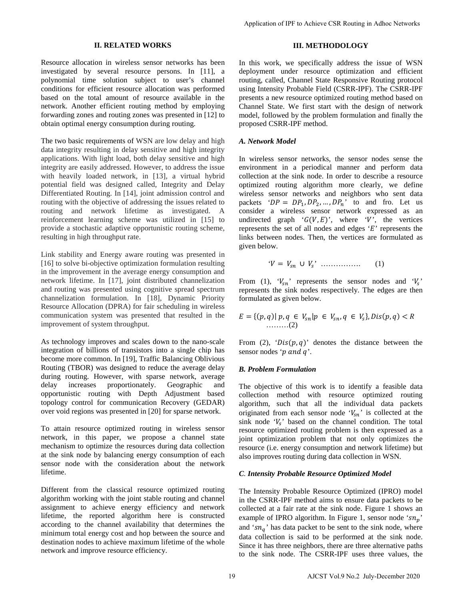#### **II. RELATED WORKS**

Resource allocation in wireless sensor networks has been investigated by several resource persons. In [11], a polynomial time solution subject to user's channel conditions for efficient resource allocation was performed based on the total amount of resource available in the network. Another efficient routing method by employing forwarding zones and routing zones was presented in [12] to obtain optimal energy consumption during routing.

The two basic requirements of WSN are low delay and high data integrity resulting in delay sensitive and high integrity applications. With light load, both delay sensitive and high integrity are easily addressed. However, to address the issue with heavily loaded network, in [13], a virtual hybrid potential field was designed called, Integrity and Delay Differentiated Routing. In [14], joint admission control and routing with the objective of addressing the issues related to routing and network lifetime as investigated. A reinforcement learning scheme was utilized in [15] to provide a stochastic adaptive opportunistic routing scheme, resulting in high throughput rate.

Link stability and Energy aware routing was presented in [16] to solve bi-objective optimization formulation resulting in the improvement in the average energy consumption and network lifetime. In [17], joint distributed channelization and routing was presented using cognitive spread spectrum channelization formulation. In [18], Dynamic Priority Resource Allocation (DPRA) for fair scheduling in wireless communication system was presented that resulted in the improvement of system throughput.

As technology improves and scales down to the nano-scale integration of billions of transistors into a single chip has become more common. In [19], Traffic Balancing Oblivious Routing (TBOR) was designed to reduce the average delay during routing. However, with sparse network, average delay increases proportionately. Geographic and opportunistic routing with Depth Adjustment based topology control for communication Recovery (GEDAR) over void regions was presented in [20] for sparse network.

To attain resource optimized routing in wireless sensor network, in this paper, we propose a channel state mechanism to optimize the resources during data collection at the sink node by balancing energy consumption of each sensor node with the consideration about the network lifetime.

Different from the classical resource optimized routing algorithm working with the joint stable routing and channel assignment to achieve energy efficiency and network lifetime, the reported algorithm here is constructed according to the channel availability that determines the minimum total energy cost and hop between the source and destination nodes to achieve maximum lifetime of the whole network and improve resource efficiency.

# **III. METHODOLOGY**

In this work, we specifically address the issue of WSN deployment under resource optimization and efficient routing, called, Channel State Responsive Routing protocol using Intensity Probable Field (CSRR-IPF). The CSRR-IPF presents a new resource optimized routing method based on Channel State. We first start with the design of network model, followed by the problem formulation and finally the proposed CSRR-IPF method.

# *A. Network Model*

In wireless sensor networks, the sensor nodes sense the environment in a periodical manner and perform data collection at the sink node. In order to describe a resource optimized routing algorithm more clearly, we define wireless sensor networks and neighbors who sent data packets ' $DP = DP_1, DP_2, ..., DP_n$ ' to and fro. Let us consider a wireless sensor network expressed as an undirected graph ' $G(V, E)$ ', where 'V', the vertices represents the set of all nodes and edges  $E'$  represents the links between nodes. Then, the vertices are formulated as given below. Application of IPF to Achieve CSR Routing in Adhoc Networks<br>
IT. METHODOL.OGY<br>
19 AJCST Vol.9 Applications he issue of WSN<br>
deployment under resource optimization and efficient<br>nutrig, called Channel State Roynwineir prot

$$
V = V_{sn} \cup V_s \quad \dots \quad \dots \quad \quad (1)
$$

From (1),  $V_{sn}$  represents the sensor nodes and  $V_s$ represents the sink nodes respectively. The edges are then formulated as given below.

 = {(, )| , ∈ | ∈ , ∈ },(, ) < ………(2)

From (2), ' $Dis(p, q)$ ' denotes the distance between the sensor nodes 'p and  $q$ '.

# *B. Problem Formulation*

The objective of this work is to identify a feasible data collection method with resource optimized routing algorithm, such that all the individual data packets originated from each sensor node ' $V_{sn}$ ' is collected at the sink node  $V_s$  based on the channel condition. The total resource optimized routing problem is then expressed as a joint optimization problem that not only optimizes the resource (i.e. energy consumption and network lifetime) but also improves routing during data collection in WSN.

# *C. Intensity Probable Resource Optimized Model*

The Intensity Probable Resource Optimized (IPRO) model in the CSRR-IPF method aims to ensure data packets to be collected at a fair rate at the sink node. Figure 1 shows an example of IPRO algorithm. In Figure 1, sensor node ' $sn_n$ ' and ' $sn_q$ ' has data packet to be sent to the sink node, where data collection is said to be performed at the sink node. Since it has three neighbors, there are three alternative paths to the sink node. The CSRR-IPF uses three values, the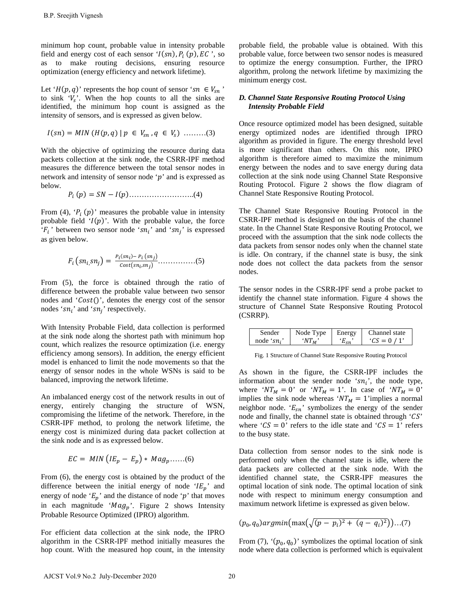minimum hop count, probable value in intensity probable field and energy cost of each sensor ' $I(sn)$ ,  $P_i(p)$ ,  $EC$ ', so as to make routing decisions, ensuring resource optimization (energy efficiency and network lifetime).

Let ' $H(p, q)$ ' represents the hop count of sensor 'sn  $\in V_{\text{sn}}$ ' to sink  $V_s$ . When the hop counts to all the sinks are identified, the minimum hop count is assigned as the intensity of sensors, and is expressed as given below.

$$
I(sn) = MIN(H(p,q) | p \in V_{sn}, q \in V_s) \dots (3)
$$

With the objective of optimizing the resource during data packets collection at the sink node, the CSRR-IPF method measures the difference between the total sensor nodes in network and intensity of sensor node ' $p$ ' and is expressed as below.

() = − ()……………………..(4)

From (4),  $P_i(p)$  measures the probable value in intensity probable field  $I(p)$ . With the probable value, the force  $F_i$  between two sensor node 'sn<sub>i</sub>' and 'sn<sub>i</sub>' is expressed as given below.

$$
F_i\left(sn_i, sn_j\right) = \frac{P_i(s_{ni}) - P_i\left(sn_j\right)}{cost(s_{ni}, sn_j)} \dots \dots \dots \dots \dots \dots \dots \tag{5}
$$

From (5), the force is obtained through the ratio of difference between the probable value between two sensor nodes and ' $Cost()$ ', denotes the energy cost of the sensor nodes ' $sn_i$ ' and ' $sn_i$ ' respectively.

With Intensity Probable Field, data collection is performed at the sink node along the shortest path with minimum hop count, which realizes the resource optimization (i.e. energy efficiency among sensors). In addition, the energy efficient model is enhanced to limit the node movements so that the energy of sensor nodes in the whole WSNs is said to be balanced, improving the network lifetime. B.P. Sreejith Vignesh<br>
minimum hop count, probable value in intensity probable<br>
died and energy cost of each sensor  $T(\pi\eta, \rho, \langle p \rangle, E^C)$ , set c. so<br>
s to make routing decisions, ensuring recounce<br>
of this case and sensor

An imbalanced energy cost of the network results in out of energy, entirely changing the structure of WSN, compromising the lifetime of the network. Therefore, in the CSRR-IPF method, to prolong the network lifetime, the energy cost is minimized during data packet collection at the sink node and is as expressed below.

$$
EC = MIN (IE_p - E_p) * Mag_p.....(6)
$$

From (6), the energy cost is obtained by the product of the difference between the initial energy of node ' $IE_p$ ' and energy of node ' $E_p$ ' and the distance of node 'p' that moves in each magnitude ' $Mag_p$ '. Figure 2 shows Intensity Probable Resource Optimized (IPRO) algorithm.

For efficient data collection at the sink node, the IPRO algorithm in the CSRR-IPF method initially measures the hop count. With the measured hop count, in the intensity probable field, the probable value is obtained. With this probable value, force between two sensor nodes is measured to optimize the energy consumption. Further, the IPRO algorithm, prolong the network lifetime by maximizing the minimum energy cost.

#### *D. Channel State Responsive Routing Protocol Using Intensity Probable Field*

Once resource optimized model has been designed, suitable energy optimized nodes are identified through IPRO algorithm as provided in figure. The energy threshold level is more significant than others. On this note, IPRO algorithm is therefore aimed to maximize the minimum energy between the nodes and to save energy during data collection at the sink node using Channel State Responsive Routing Protocol. Figure 2 shows the flow diagram of Channel State Responsive Routing Protocol.

The Channel State Responsive Routing Protocol in the CSRR-IPF method is designed on the basis of the channel state. In the Channel State Responsive Routing Protocol, we proceed with the assumption that the sink node collects the data packets from sensor nodes only when the channel state is idle. On contrary, if the channel state is busy, the sink node does not collect the data packets from the sensor nodes.

The sensor nodes in the CSRR-IPF send a probe packet to identify the channel state information. Figure 4 shows the structure of Channel State Responsive Routing Protocol (CSRRP).

| Sender                        | Node Type | Eneroy | Channel state |
|-------------------------------|-----------|--------|---------------|
| node '.<br>$\cdot$ cn $\cdot$ |           |        | $C S = 0 / 1$ |

Fig. 1 Structure of Channel State Responsive Routing Protocol

As shown in the figure, the CSRR-IPF includes the information about the sender node ' $sn_i$ ', the node type, where ' $NT_M = 0$ ' or ' $NT_M = 1$ '. In case of ' $NT_M = 0$ ' implies the sink node whereas ' $NT_M = 1$ 'implies a normal neighbor node. ' $E_{sn}$ ' symbolizes the energy of the sender node and finally, the channel state is obtained through  $°CS$ where ' $CS = 0$ ' refers to the idle state and ' $CS = 1$ ' refers to the busy state.

Data collection from sensor nodes to the sink node is performed only when the channel state is idle, where the data packets are collected at the sink node. With the identified channel state, the CSRR-IPF measures the optimal location of sink node. The optimal location of sink node with respect to minimum energy consumption and maximum network lifetime is expressed as given below.

 $(p_0, q_0)$ argmin $(\max(\sqrt{(p - p_i)^2 + (q - q_i)^2}))$ ...(7)

From (7),  $(p_0, q_0)$ ' symbolizes the optimal location of sink node where data collection is performed which is equivalent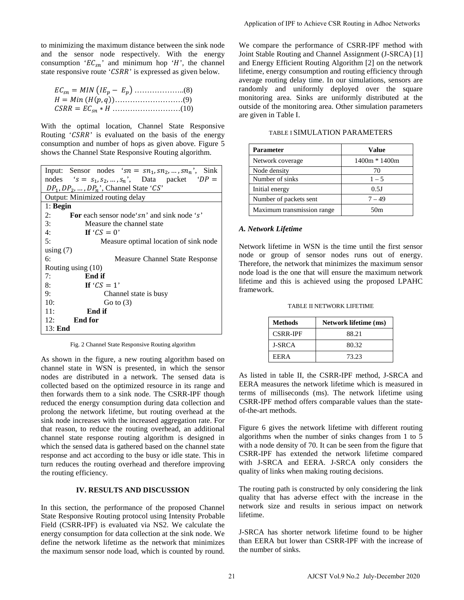to minimizing the maximum distance between the sink node and the sensor node respectively. With the energy consumption ' $EC_{sn}$ ' and minimum hop 'H', the channel state responsive route ' $CSRR$ ' is expressed as given below.

With the optimal location, Channel State Responsive Routing ' $CSRR$ ' is evaluated on the basis of the energy consumption and number of hops as given above. Figure 5 shows the Channel State Responsive Routing algorithm.

| Input: Sensor nodes ' $sn = sn_1, sn_2, , sn_n$ ', Sink  |  |  |  |  |
|----------------------------------------------------------|--|--|--|--|
| nodes 's = $s_1, s_2, , s_n$ ', Data packet 'DP =        |  |  |  |  |
| $DP_1, DP_2, , DP_n$ <sup>*</sup> , Channel State 'CS'   |  |  |  |  |
| Output: Minimized routing delay                          |  |  |  |  |
| $1:$ Begin                                               |  |  |  |  |
| <b>For</b> each sensor node 'sn' and sink node 's'<br>2: |  |  |  |  |
| 3:<br>Measure the channel state                          |  |  |  |  |
| 4:<br>If ' $CS = 0$ '                                    |  |  |  |  |
| 5:<br>Measure optimal location of sink node              |  |  |  |  |
| using $(7)$                                              |  |  |  |  |
| 6:<br>Measure Channel State Response                     |  |  |  |  |
| Routing using (10)                                       |  |  |  |  |
| End if<br>7:                                             |  |  |  |  |
| If ' $CS = 1$ '<br>8:                                    |  |  |  |  |
| 9:<br>Channel state is busy                              |  |  |  |  |
| 10:<br>Go to $(3)$                                       |  |  |  |  |
| End if<br>11:                                            |  |  |  |  |
| 12:<br><b>End for</b>                                    |  |  |  |  |
| 13: End                                                  |  |  |  |  |

Fig. 2 Channel State Responsive Routing algorithm

As shown in the figure, a new routing algorithm based on channel state in WSN is presented, in which the sensor nodes are distributed in a network. The sensed data is collected based on the optimized resource in its range and then forwards them to a sink node. The CSRR-IPF though reduced the energy consumption during data collection and prolong the network lifetime, but routing overhead at the sink node increases with the increased aggregation rate. For that reason, to reduce the routing overhead, an additional channel state response routing algorithm is designed in which the sensed data is gathered based on the channel state response and act according to the busy or idle state. This in turn reduces the routing overhead and therefore improving the routing efficiency.

# **IV. RESULTS AND DISCUSSION**

In this section, the performance of the proposed Channel State Responsive Routing protocol using Intensity Probable Field (CSRR-IPF) is evaluated via NS2. We calculate the energy consumption for data collection at the sink node. We define the network lifetime as the network that minimizes the maximum sensor node load, which is counted by round.

We compare the performance of CSRR-IPF method with Joint Stable Routing and Channel Assignment (J-SRCA) [1] and Energy Efficient Routing Algorithm [2] on the network lifetime, energy consumption and routing efficiency through average routing delay time. In our simulations, sensors are randomly and uniformly deployed over the square monitoring area. Sinks are uniformly distributed at the outside of the monitoring area. Other simulation parameters are given in Table I. Application of IPF to Achieve CSR Routing in Adhoc Networks<br>
We compare the performance of CSRR-IDP method with<br>
use the material Channel CSRC A) [I<br>
used Interior Secure Routing Algorithm [2] on the network<br>
increase ven

| <b>Parameter</b>       | <b>Value</b>  |
|------------------------|---------------|
| Network coverage       | 1400m * 1400m |
| Node density           | 70            |
| Number of sinks        | $1 - 5$       |
| Initial energy         | 0.5J          |
| Number of packets sent | $7 - 49$      |
|                        |               |

Maximum transmission range 50m

TABLE I SIMULATION PARAMETERS

#### *A. Network Lifetime*

Network lifetime in WSN is the time until the first sensor node or group of sensor nodes runs out of energy. Therefore, the network that minimizes the maximum sensor node load is the one that will ensure the maximum network lifetime and this is achieved using the proposed LPAHC framework.

TABLE II NETWORK LIFETIME

| Methods         | <b>Network lifetime (ms)</b> |
|-----------------|------------------------------|
| <b>CSRR-IPF</b> | 88.21                        |
| <b>J-SRCA</b>   | 80.32                        |
| EER A           | 73.23                        |

As listed in table II, the CSRR-IPF method, J-SRCA and EERA measures the network lifetime which is measured in terms of milliseconds (ms). The network lifetime using CSRR-IPF method offers comparable values than the stateof-the-art methods.

Figure 6 gives the network lifetime with different routing algorithms when the number of sinks changes from 1 to 5 with a node density of 70. It can be seen from the figure that CSRR-IPF has extended the network lifetime compared with J-SRCA and EERA. J-SRCA only considers the quality of links when making routing decisions.

The routing path is constructed by only considering the link quality that has adverse effect with the increase in the network size and results in serious impact on network lifetime.

J-SRCA has shorter network lifetime found to be higher than EERA but lower than CSRR-IPF with the increase of the number of sinks.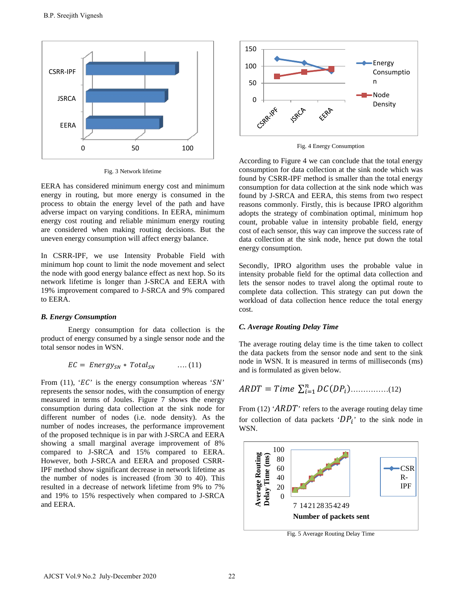

Fig. 3 Network lifetime

EERA has considered minimum energy cost and minimum energy in routing, but more energy is consumed in the process to obtain the energy level of the path and have adverse impact on varying conditions. In EERA, minimum energy cost routing and reliable minimum energy routing are considered when making routing decisions. But the uneven energy consumption will affect energy balance.

In CSRR-IPF, we use Intensity Probable Field with minimum hop count to limit the node movement and select the node with good energy balance effect as next hop. So its network lifetime is longer than J-SRCA and EERA with 19% improvement compared to J-SRCA and 9% compared to EERA.

#### *B. Energy Consumption*

Energy consumption for data collection is the product of energy consumed by a single sensor node and the total sensor nodes in WSN.

$$
EC = Energy_{SN} * Total_{SN} \qquad \dots (11)
$$

From (11), ' $EC$ ' is the energy consumption whereas ' $SN$ ' represents the sensor nodes, with the consumption of energy measured in terms of Joules. Figure 7 shows the energy consumption during data collection at the sink node for different number of nodes (i.e. node density). As the number of nodes increases, the performance improvement of the proposed technique is in par with J-SRCA and EERA showing a small marginal average improvement of 8% compared to J-SRCA and 15% compared to EERA. However, both J-SRCA and EERA and proposed CSRR-IPF method show significant decrease in network lifetime as the number of nodes is increased (from 30 to 40). This resulted in a decrease of network lifetime from 9% to 7% and 19% to 15% respectively when compared to J-SRCA and EERA. B.P. Sreejith Vignosh<br>
SRCA<br>
SRCA<br>
SRCA<br>
SRCA<br>
SRCA Ans considered chiaimum energy cost and minimum<br>
energy in routing, but more energy is consumed in the<br>
nergy cost routing and reliable minimum energy routing<br>
nergy cos



Fig. 4 Energy Consumption

According to Figure 4 we can conclude that the total energy consumption for data collection at the sink node which was found by CSRR-IPF method is smaller than the total energy consumption for data collection at the sink node which was found by J-SRCA and EERA, this stems from two respect reasons commonly. Firstly, this is because IPRO algorithm adopts the strategy of combination optimal, minimum hop count, probable value in intensity probable field, energy cost of each sensor, this way can improve the success rate of data collection at the sink node, hence put down the total energy consumption.

Secondly, IPRO algorithm uses the probable value in intensity probable field for the optimal data collection and lets the sensor nodes to travel along the optimal route to complete data collection. This strategy can put down the workload of data collection hence reduce the total energy cost.

#### *C. Average Routing Delay Time*

The average routing delay time is the time taken to collect the data packets from the sensor node and sent to the sink node in WSN. It is measured in terms of milliseconds (ms) and is formulated as given below.

$$
ARDT = Time \sum_{i=1}^{n} DC(DP_i) \dots (12)
$$

From (12) ' $ARDT$ ' refers to the average routing delay time for collection of data packets ' $DP_i$ ' to the sink node in WSN.



Fig. 5 Average Routing Delay Time